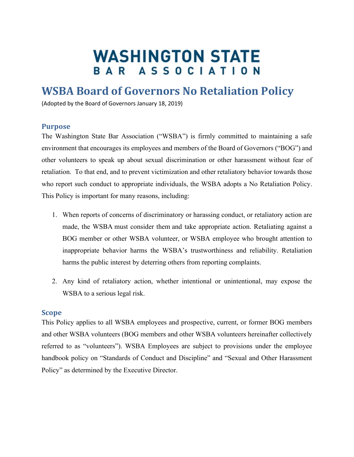# **WASHINGTON STATE** BAR ASSOCIATION

# **WSBA Board of Governors No Retaliation Policy**

(Adopted by the Board of Governors January 18, 2019)

#### **Purpose**

The Washington State Bar Association ("WSBA") is firmly committed to maintaining a safe environment that encourages its employees and members of the Board of Governors ("BOG") and other volunteers to speak up about sexual discrimination or other harassment without fear of retaliation. To that end, and to prevent victimization and other retaliatory behavior towards those who report such conduct to appropriate individuals, the WSBA adopts a No Retaliation Policy. This Policy is important for many reasons, including:

- 1. When reports of concerns of discriminatory or harassing conduct, or retaliatory action are made, the WSBA must consider them and take appropriate action. Retaliating against a BOG member or other WSBA volunteer, or WSBA employee who brought attention to inappropriate behavior harms the WSBA's trustworthiness and reliability. Retaliation harms the public interest by deterring others from reporting complaints.
- 2. Any kind of retaliatory action, whether intentional or unintentional, may expose the WSBA to a serious legal risk.

#### **Scope**

This Policy applies to all WSBA employees and prospective, current, or former BOG members and other WSBA volunteers (BOG members and other WSBA volunteers hereinafter collectively referred to as "volunteers"). WSBA Employees are subject to provisions under the employee handbook policy on "Standards of Conduct and Discipline" and "Sexual and Other Harassment Policy" as determined by the Executive Director.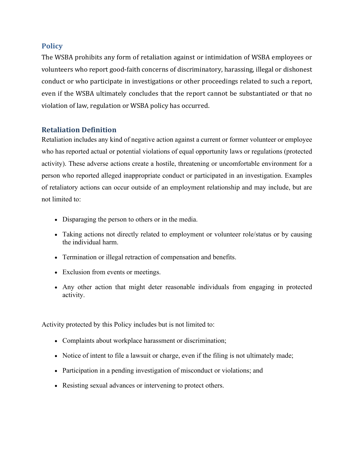# **Policy**

The WSBA prohibits any form of retaliation against or intimidation of WSBA employees or volunteers who report good-faith concerns of discriminatory, harassing, illegal or dishonest conduct or who participate in investigations or other proceedings related to such a report, even if the WSBA ultimately concludes that the report cannot be substantiated or that no violation of law, regulation or WSBA policy has occurred.

# **Retaliation Definition**

Retaliation includes any kind of negative action against a current or former volunteer or employee who has reported actual or potential violations of equal opportunity laws or regulations (protected activity). These adverse actions create a hostile, threatening or uncomfortable environment for a person who reported alleged inappropriate conduct or participated in an investigation. Examples of retaliatory actions can occur outside of an employment relationship and may include, but are not limited to:

- Disparaging the person to others or in the media.
- Taking actions not directly related to employment or volunteer role/status or by causing the individual harm.
- Termination or illegal retraction of compensation and benefits.
- Exclusion from events or meetings.
- Any other action that might deter reasonable individuals from engaging in protected activity.

Activity protected by this Policy includes but is not limited to:

- Complaints about workplace harassment or discrimination;
- Notice of intent to file a lawsuit or charge, even if the filing is not ultimately made;
- Participation in a pending investigation of misconduct or violations; and
- Resisting sexual advances or intervening to protect others.